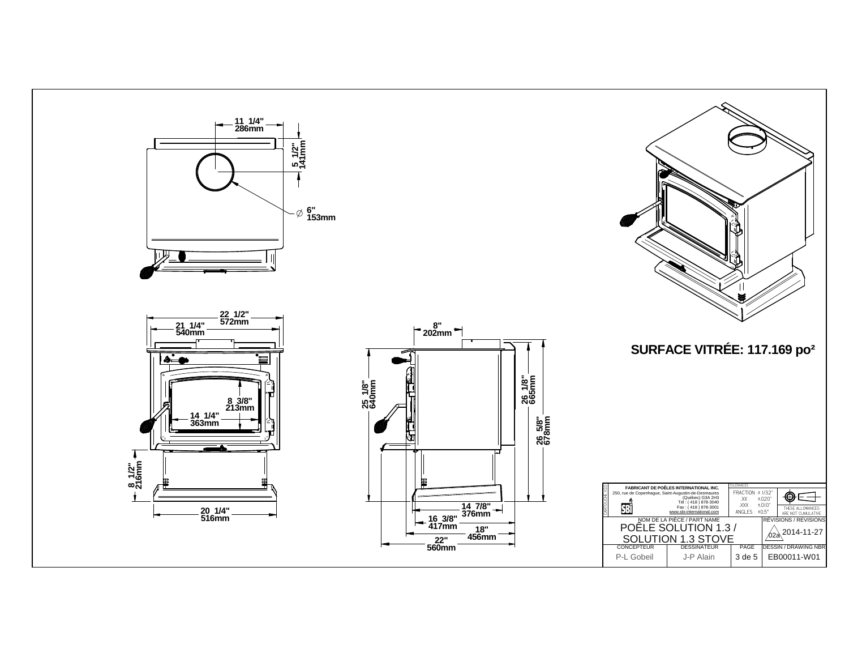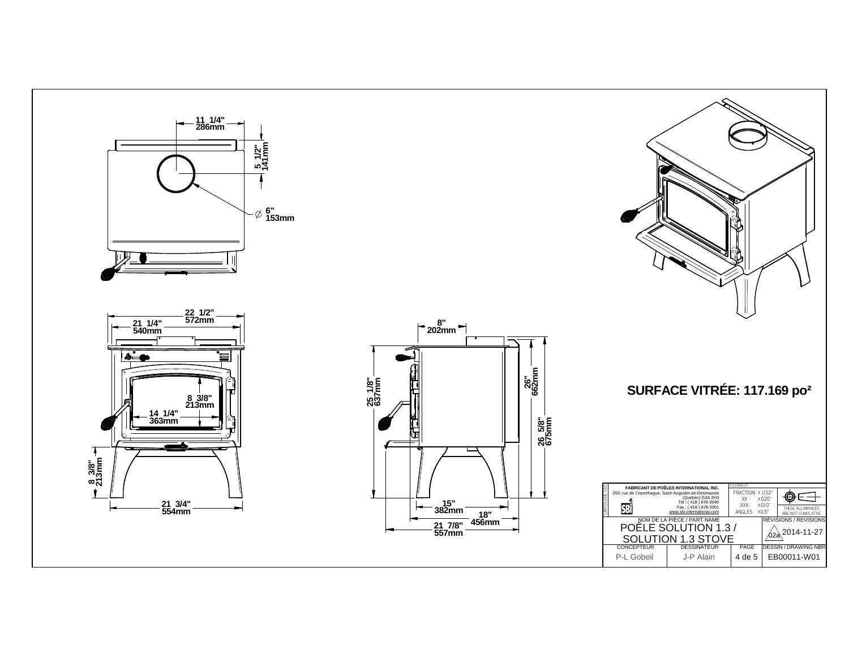